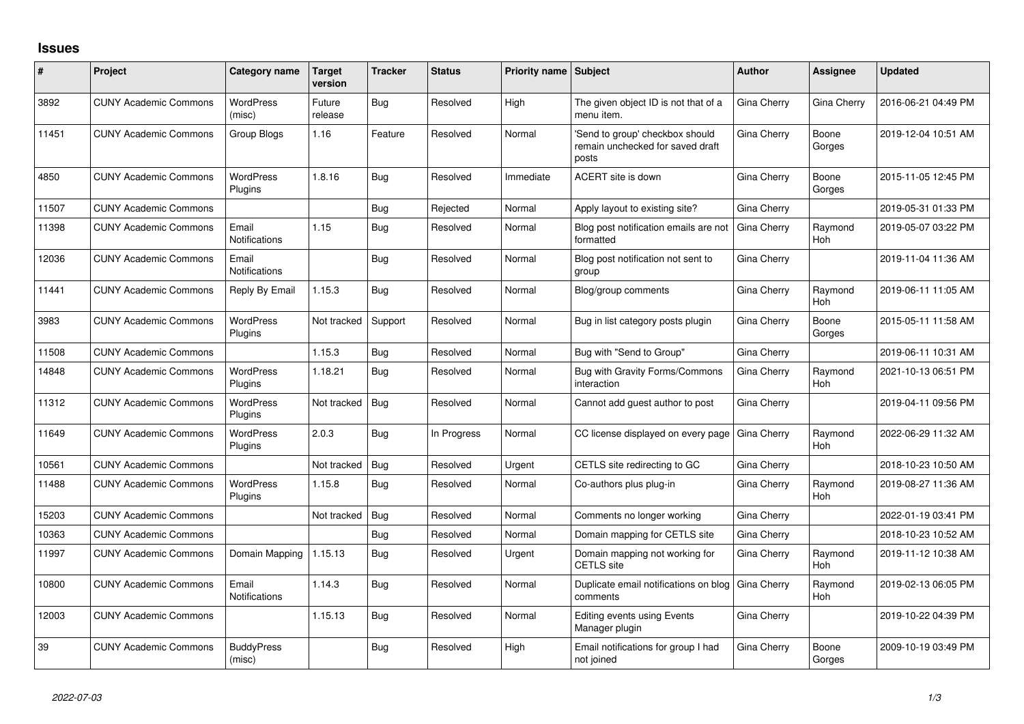## **Issues**

| #     | Project                      | Category name                 | <b>Target</b><br>version | <b>Tracker</b> | <b>Status</b> | <b>Priority name Subject</b> |                                                                              | <b>Author</b> | Assignee              | <b>Updated</b>      |
|-------|------------------------------|-------------------------------|--------------------------|----------------|---------------|------------------------------|------------------------------------------------------------------------------|---------------|-----------------------|---------------------|
| 3892  | <b>CUNY Academic Commons</b> | <b>WordPress</b><br>(misc)    | Future<br>release        | Bug            | Resolved      | High                         | The given object ID is not that of a<br>menu item.                           | Gina Cherry   | Gina Cherry           | 2016-06-21 04:49 PM |
| 11451 | <b>CUNY Academic Commons</b> | Group Blogs                   | 1.16                     | Feature        | Resolved      | Normal                       | 'Send to group' checkbox should<br>remain unchecked for saved draft<br>posts | Gina Cherry   | Boone<br>Gorges       | 2019-12-04 10:51 AM |
| 4850  | <b>CUNY Academic Commons</b> | <b>WordPress</b><br>Plugins   | 1.8.16                   | Bug            | Resolved      | Immediate                    | ACERT site is down                                                           | Gina Cherry   | Boone<br>Gorges       | 2015-11-05 12:45 PM |
| 11507 | <b>CUNY Academic Commons</b> |                               |                          | Bug            | Rejected      | Normal                       | Apply layout to existing site?                                               | Gina Cherry   |                       | 2019-05-31 01:33 PM |
| 11398 | <b>CUNY Academic Commons</b> | Email<br>Notifications        | 1.15                     | Bug            | Resolved      | Normal                       | Blog post notification emails are not<br>formatted                           | Gina Cherry   | Raymond<br>Hoh        | 2019-05-07 03:22 PM |
| 12036 | <b>CUNY Academic Commons</b> | Email<br>Notifications        |                          | Bug            | Resolved      | Normal                       | Blog post notification not sent to<br>group                                  | Gina Cherry   |                       | 2019-11-04 11:36 AM |
| 11441 | <b>CUNY Academic Commons</b> | Reply By Email                | 1.15.3                   | <b>Bug</b>     | Resolved      | Normal                       | Blog/group comments                                                          | Gina Cherry   | Raymond<br><b>Hoh</b> | 2019-06-11 11:05 AM |
| 3983  | <b>CUNY Academic Commons</b> | <b>WordPress</b><br>Plugins   | Not tracked              | Support        | Resolved      | Normal                       | Bug in list category posts plugin                                            | Gina Cherry   | Boone<br>Gorges       | 2015-05-11 11:58 AM |
| 11508 | <b>CUNY Academic Commons</b> |                               | 1.15.3                   | Bug            | Resolved      | Normal                       | Bug with "Send to Group"                                                     | Gina Cherry   |                       | 2019-06-11 10:31 AM |
| 14848 | <b>CUNY Academic Commons</b> | <b>WordPress</b><br>Plugins   | 1.18.21                  | Bug            | Resolved      | Normal                       | Bug with Gravity Forms/Commons<br>interaction                                | Gina Cherry   | Raymond<br><b>Hoh</b> | 2021-10-13 06:51 PM |
| 11312 | <b>CUNY Academic Commons</b> | <b>WordPress</b><br>Plugins   | Not tracked              | Bug            | Resolved      | Normal                       | Cannot add guest author to post                                              | Gina Cherry   |                       | 2019-04-11 09:56 PM |
| 11649 | <b>CUNY Academic Commons</b> | <b>WordPress</b><br>Plugins   | 2.0.3                    | <b>Bug</b>     | In Progress   | Normal                       | CC license displayed on every page                                           | Gina Cherry   | Raymond<br><b>Hoh</b> | 2022-06-29 11:32 AM |
| 10561 | <b>CUNY Academic Commons</b> |                               | Not tracked              | Bug            | Resolved      | Urgent                       | CETLS site redirecting to GC                                                 | Gina Cherry   |                       | 2018-10-23 10:50 AM |
| 11488 | <b>CUNY Academic Commons</b> | <b>WordPress</b><br>Plugins   | 1.15.8                   | Bug            | Resolved      | Normal                       | Co-authors plus plug-in                                                      | Gina Cherry   | Raymond<br><b>Hoh</b> | 2019-08-27 11:36 AM |
| 15203 | <b>CUNY Academic Commons</b> |                               | Not tracked              | Bug            | Resolved      | Normal                       | Comments no longer working                                                   | Gina Cherry   |                       | 2022-01-19 03:41 PM |
| 10363 | <b>CUNY Academic Commons</b> |                               |                          | Bug            | Resolved      | Normal                       | Domain mapping for CETLS site                                                | Gina Cherry   |                       | 2018-10-23 10:52 AM |
| 11997 | <b>CUNY Academic Commons</b> | Domain Mapping                | 1.15.13                  | Bug            | Resolved      | Urgent                       | Domain mapping not working for<br><b>CETLS</b> site                          | Gina Cherry   | Raymond<br>Hoh        | 2019-11-12 10:38 AM |
| 10800 | <b>CUNY Academic Commons</b> | Email<br><b>Notifications</b> | 1.14.3                   | Bug            | Resolved      | Normal                       | Duplicate email notifications on blog<br>comments                            | Gina Cherry   | Raymond<br>Hoh        | 2019-02-13 06:05 PM |
| 12003 | <b>CUNY Academic Commons</b> |                               | 1.15.13                  | Bug            | Resolved      | Normal                       | Editing events using Events<br>Manager plugin                                | Gina Cherry   |                       | 2019-10-22 04:39 PM |
| 39    | <b>CUNY Academic Commons</b> | <b>BuddyPress</b><br>(misc)   |                          | Bug            | Resolved      | High                         | Email notifications for group I had<br>not joined                            | Gina Cherry   | Boone<br>Gorges       | 2009-10-19 03:49 PM |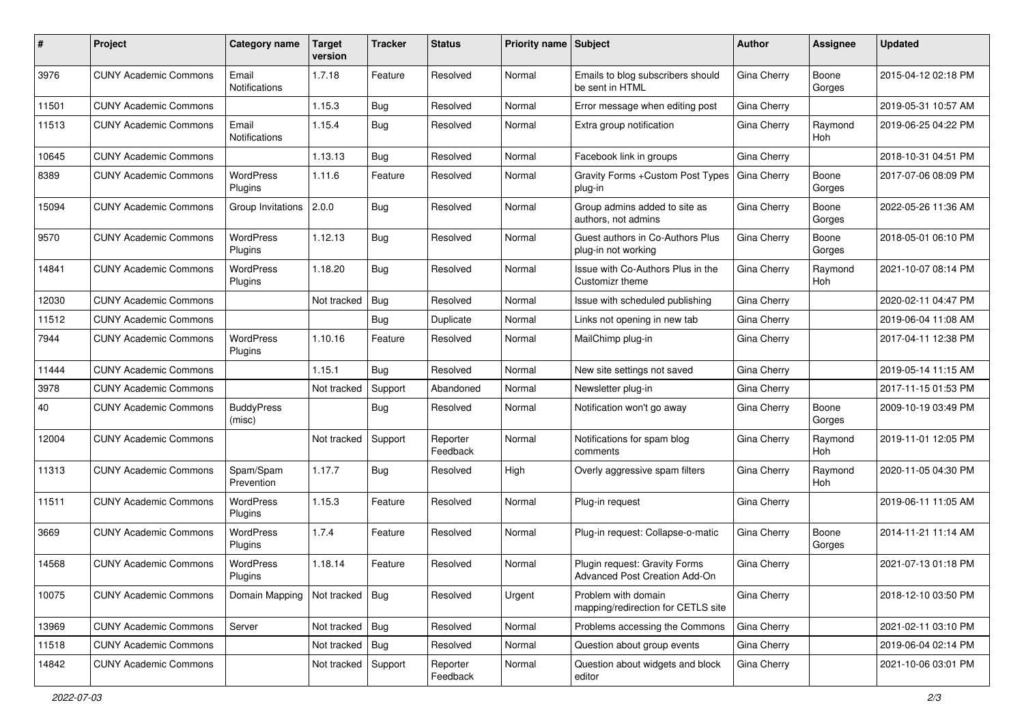| #     | Project                      | <b>Category name</b>          | <b>Target</b><br>version | <b>Tracker</b> | <b>Status</b>        | Priority name Subject |                                                                | Author      | Assignee        | <b>Updated</b>      |
|-------|------------------------------|-------------------------------|--------------------------|----------------|----------------------|-----------------------|----------------------------------------------------------------|-------------|-----------------|---------------------|
| 3976  | <b>CUNY Academic Commons</b> | Email<br>Notifications        | 1.7.18                   | Feature        | Resolved             | Normal                | Emails to blog subscribers should<br>be sent in HTML           | Gina Cherry | Boone<br>Gorges | 2015-04-12 02:18 PM |
| 11501 | <b>CUNY Academic Commons</b> |                               | 1.15.3                   | Bug            | Resolved             | Normal                | Error message when editing post                                | Gina Cherry |                 | 2019-05-31 10:57 AM |
| 11513 | <b>CUNY Academic Commons</b> | Email<br><b>Notifications</b> | 1.15.4                   | Bug            | Resolved             | Normal                | Extra group notification                                       | Gina Cherry | Raymond<br>Hoh  | 2019-06-25 04:22 PM |
| 10645 | <b>CUNY Academic Commons</b> |                               | 1.13.13                  | Bug            | Resolved             | Normal                | Facebook link in groups                                        | Gina Cherry |                 | 2018-10-31 04:51 PM |
| 8389  | <b>CUNY Academic Commons</b> | <b>WordPress</b><br>Plugins   | 1.11.6                   | Feature        | Resolved             | Normal                | Gravity Forms + Custom Post Types<br>plug-in                   | Gina Cherry | Boone<br>Gorges | 2017-07-06 08:09 PM |
| 15094 | <b>CUNY Academic Commons</b> | Group Invitations 2.0.0       |                          | Bug            | Resolved             | Normal                | Group admins added to site as<br>authors, not admins           | Gina Cherry | Boone<br>Gorges | 2022-05-26 11:36 AM |
| 9570  | <b>CUNY Academic Commons</b> | <b>WordPress</b><br>Plugins   | 1.12.13                  | Bug            | Resolved             | Normal                | Guest authors in Co-Authors Plus<br>plug-in not working        | Gina Cherry | Boone<br>Gorges | 2018-05-01 06:10 PM |
| 14841 | <b>CUNY Academic Commons</b> | <b>WordPress</b><br>Plugins   | 1.18.20                  | Bug            | Resolved             | Normal                | Issue with Co-Authors Plus in the<br>Customizr theme           | Gina Cherry | Raymond<br>Hoh  | 2021-10-07 08:14 PM |
| 12030 | <b>CUNY Academic Commons</b> |                               | Not tracked              | Bug            | Resolved             | Normal                | Issue with scheduled publishing                                | Gina Cherry |                 | 2020-02-11 04:47 PM |
| 11512 | <b>CUNY Academic Commons</b> |                               |                          | Bug            | Duplicate            | Normal                | Links not opening in new tab                                   | Gina Cherry |                 | 2019-06-04 11:08 AM |
| 7944  | <b>CUNY Academic Commons</b> | <b>WordPress</b><br>Plugins   | 1.10.16                  | Feature        | Resolved             | Normal                | MailChimp plug-in                                              | Gina Cherry |                 | 2017-04-11 12:38 PM |
| 11444 | <b>CUNY Academic Commons</b> |                               | 1.15.1                   | Bug            | Resolved             | Normal                | New site settings not saved                                    | Gina Cherry |                 | 2019-05-14 11:15 AM |
| 3978  | <b>CUNY Academic Commons</b> |                               | Not tracked              | Support        | Abandoned            | Normal                | Newsletter plug-in                                             | Gina Cherry |                 | 2017-11-15 01:53 PM |
| 40    | <b>CUNY Academic Commons</b> | <b>BuddyPress</b><br>(misc)   |                          | Bug            | Resolved             | Normal                | Notification won't go away                                     | Gina Cherry | Boone<br>Gorges | 2009-10-19 03:49 PM |
| 12004 | <b>CUNY Academic Commons</b> |                               | Not tracked              | Support        | Reporter<br>Feedback | Normal                | Notifications for spam blog<br>comments                        | Gina Cherry | Raymond<br>Hoh  | 2019-11-01 12:05 PM |
| 11313 | <b>CUNY Academic Commons</b> | Spam/Spam<br>Prevention       | 1.17.7                   | Bug            | Resolved             | High                  | Overly aggressive spam filters                                 | Gina Cherry | Raymond<br>Hoh  | 2020-11-05 04:30 PM |
| 11511 | <b>CUNY Academic Commons</b> | <b>WordPress</b><br>Plugins   | 1.15.3                   | Feature        | Resolved             | Normal                | Plug-in request                                                | Gina Cherry |                 | 2019-06-11 11:05 AM |
| 3669  | <b>CUNY Academic Commons</b> | WordPress<br>Plugins          | 1.7.4                    | Feature        | Resolved             | Normal                | Plug-in request: Collapse-o-matic                              | Gina Cherry | Boone<br>Gorges | 2014-11-21 11:14 AM |
| 14568 | <b>CUNY Academic Commons</b> | WordPress<br>Plugins          | 1.18.14                  | Feature        | Resolved             | Normal                | Plugin request: Gravity Forms<br>Advanced Post Creation Add-On | Gina Cherry |                 | 2021-07-13 01:18 PM |
| 10075 | <b>CUNY Academic Commons</b> | Domain Mapping                | Not tracked Bug          |                | Resolved             | Urgent                | Problem with domain<br>mapping/redirection for CETLS site      | Gina Cherry |                 | 2018-12-10 03:50 PM |
| 13969 | <b>CUNY Academic Commons</b> | Server                        | Not tracked Bug          |                | Resolved             | Normal                | Problems accessing the Commons                                 | Gina Cherry |                 | 2021-02-11 03:10 PM |
| 11518 | <b>CUNY Academic Commons</b> |                               | Not tracked   Bug        |                | Resolved             | Normal                | Question about group events                                    | Gina Cherry |                 | 2019-06-04 02:14 PM |
| 14842 | <b>CUNY Academic Commons</b> |                               | Not tracked              | Support        | Reporter<br>Feedback | Normal                | Question about widgets and block<br>editor                     | Gina Cherry |                 | 2021-10-06 03:01 PM |